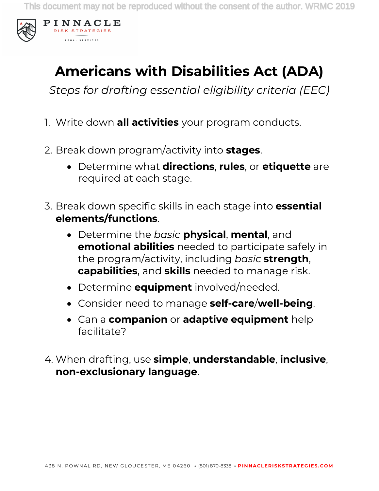

## **Americans with Disabilities Act (ADA)**

*Steps for drafting essential eligibility criteria (EEC)*

- 1. Write down **all activities** your program conducts.
- 2. Break down program/activity into **stages**.
	- Determine what **directions**, **rules**, or **etiquette** are required at each stage.
- 3. Break down specific skills in each stage into **essential elements/functions**.
	- Determine the *basic* **physical**, **mental**, and **emotional abilities** needed to participate safely in the program/activity, including *basic* **strength**, **capabilities**, and **skills** needed to manage risk.
	- Determine **equipment** involved/needed.
	- Consider need to manage **self-care**/**well-being**.
	- Can a **companion** or **adaptive equipment** help facilitate?
- 4. When drafting, use **simple**, **understandable**, **inclusive**, **non-exclusionary language**.